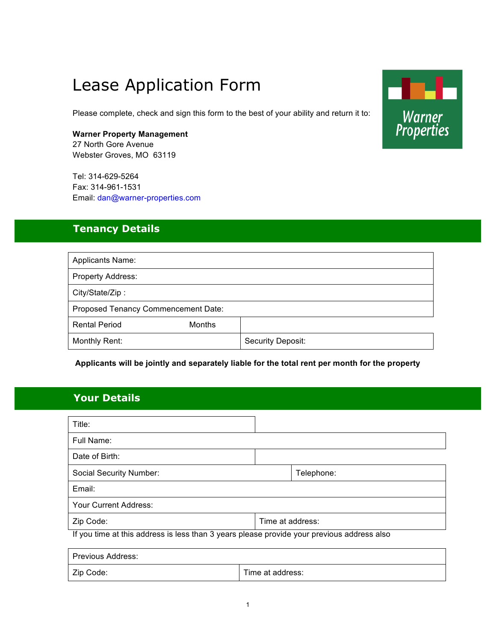# Lease Application Form

Please complete, check and sign this form to the best of your ability and return it to:

#### **Warner Property Management**

27 North Gore Avenue Webster Groves, MO 63119

Tel: 314-629-5264 Fax: 314-961-1531 Email: dan@warner-properties.com

## **Tenancy Details**

| <b>Applicants Name:</b>               |                   |  |
|---------------------------------------|-------------------|--|
| <b>Property Address:</b>              |                   |  |
| City/State/Zip:                       |                   |  |
| Proposed Tenancy Commencement Date:   |                   |  |
| <b>Rental Period</b><br><b>Months</b> |                   |  |
| Monthly Rent:                         | Security Deposit: |  |

**Applicants will be jointly and separately liable for the total rent per month for the property**

## **Your Details**

| Title:                                                                                     |                  |  |
|--------------------------------------------------------------------------------------------|------------------|--|
| Full Name:                                                                                 |                  |  |
| Date of Birth:                                                                             |                  |  |
| Social Security Number:                                                                    | Telephone:       |  |
| Email:                                                                                     |                  |  |
| Your Current Address:                                                                      |                  |  |
| Zip Code:                                                                                  | Time at address: |  |
| If you time at this address is less than 3 years please provide your previous address also |                  |  |
|                                                                                            |                  |  |

| Previous Address: |                  |  |
|-------------------|------------------|--|
| Zip Code:         | Time at address: |  |